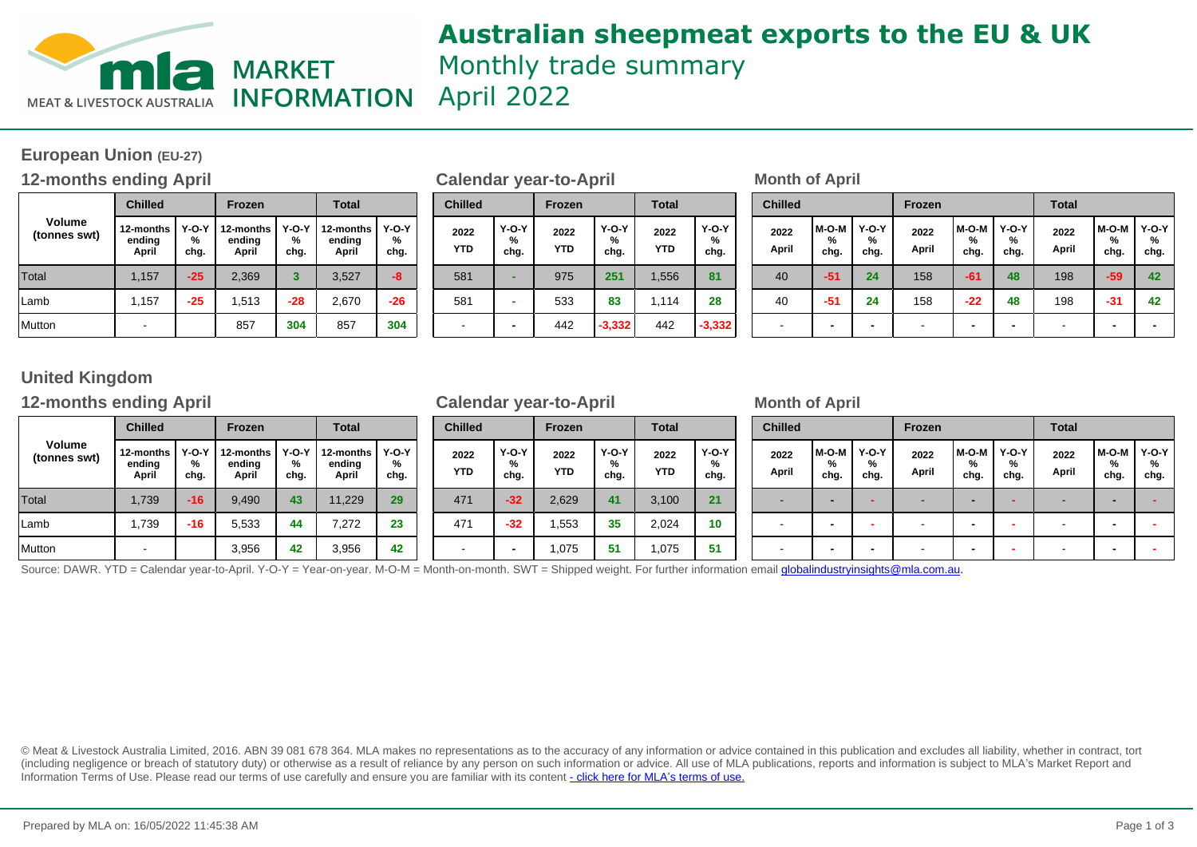

## **Australian sheepmeat exports to the EU & UK** Monthly trade summary April 2022

### **European Union (EU-27)**

### **12-months ending April Calendar year-to-April Month of April**

|                               | <b>Chilled</b>               |                      | <b>Frozen</b>                |                      | <b>Total</b>                 |                                            |  |  |
|-------------------------------|------------------------------|----------------------|------------------------------|----------------------|------------------------------|--------------------------------------------|--|--|
| <b>Volume</b><br>(tonnes swt) | 12-months<br>ending<br>April | $Y-O-Y$<br>%<br>chg. | 12-months<br>ending<br>April | $Y-O-Y$<br>%<br>chg. | 12-months<br>ending<br>April | $Y-O-Y$<br>%<br>chg.<br>-8<br>$-26$<br>304 |  |  |
| Total                         | 1,157                        | $-25$                | 2,369                        | 3                    | 3,527                        |                                            |  |  |
| Lamb                          | 1,157                        | $-25$                | 1,513                        | $-28$                | 2,670                        |                                            |  |  |
| Mutton                        |                              |                      | 857                          | 304                  | 857                          |                                            |  |  |

| <b>Chilled</b>     |                           | Frozen             |                      | <b>Total</b>       |                      |
|--------------------|---------------------------|--------------------|----------------------|--------------------|----------------------|
| 2022<br><b>YTD</b> | <b>Y-O-Y</b><br>%<br>chg. | 2022<br><b>YTD</b> | $Y-O-Y$<br>%<br>chg. | 2022<br><b>YTD</b> | $Y-O-Y$<br>%<br>chg. |
| 581                |                           | 975                | 251                  | 1,556              | 81                   |
| 581                |                           | 533                | 83                   | 1,114              | 28                   |
|                    |                           | 442                | $-3,332$             | 442                | $-3,332$             |

| <b>Total</b><br>Frozen     |                      |                              | <b>Chilled</b>       |  | Frozen                   |                    | <b>Total</b>       |                      | <b>Chilled</b>     |                      |               | Frozen             |                      |               | <b>Total</b>       |                      |               |                          |                           |
|----------------------------|----------------------|------------------------------|----------------------|--|--------------------------|--------------------|--------------------|----------------------|--------------------|----------------------|---------------|--------------------|----------------------|---------------|--------------------|----------------------|---------------|--------------------------|---------------------------|
| -months<br>nding!<br>April | $Y-O-Y$<br>%<br>chg. | 12-months<br>ending<br>April | $Y-O-Y$<br>%<br>chg. |  | 2022<br><b>YTD</b>       | Y-O-Y<br>%<br>chg. | 2022<br><b>YTD</b> | $Y-O-Y$<br>%<br>chg. | 2022<br><b>YTD</b> | $Y-O-Y$<br>%<br>chg. | 2022<br>April | M-O-M<br>%<br>chg. | $Y-O-Y$<br>%<br>chg. | 2022<br>April | M-O-M<br>%<br>chg. | $Y-O-Y$<br>%<br>chg. | 2022<br>April | M-O-M<br>%<br>chg.       | <b>Y-O-Y</b><br>%<br>chg. |
| 2,369                      |                      | 3,527                        | $-8$                 |  | 581                      | -                  | 975                | 251                  | 1,556              | 81                   | 40            | -51                | 24                   | 158           | $-61$              | 48                   | 198           | $-59$                    | 42                        |
| 1,513                      | $-28$                | 2,670                        | $-26$                |  | 581                      |                    | 533                | 83                   | 114، ،             | 28                   | 40            | -51                | 24                   | 158           | $-22$              | 48                   | 198           | $-31$                    | 42                        |
| 857                        | 304                  | 857                          | 304                  |  | $\overline{\phantom{0}}$ |                    | 442                | $-3,332$             | 442                | $-3,332$             | . .           |                    |                      |               | -                  | -                    | . .           | $\overline{\phantom{0}}$ |                           |

### **United Kingdom**

### **12-months ending April Calendar year-to-April Month of April**

|                               | <b>Chilled</b>               |                      | <b>Frozen</b>                |                    | <b>Total</b>                 |                                        |  |  |
|-------------------------------|------------------------------|----------------------|------------------------------|--------------------|------------------------------|----------------------------------------|--|--|
| <b>Volume</b><br>(tonnes swt) | 12-months<br>ending<br>April | $Y-O-Y$<br>%<br>chg. | 12-months<br>ending<br>April | Y-O-Y<br>%<br>chg. | 12-months<br>ending<br>April | $Y-O-Y$<br>%<br>chg.<br>29<br>23<br>42 |  |  |
| Total                         | 1,739                        | $-16$                | 9,490                        | 43                 | 11,229                       |                                        |  |  |
| Lamb                          | 1,739                        | $-16$                | 5,533                        | 44                 | 7,272                        |                                        |  |  |
| Mutton                        |                              |                      | 3,956                        | 42                 | 3,956                        |                                        |  |  |

| <b>Chilled</b>     |                      | Frozen             |                      | <b>Total</b>       |                      |  |  |  |
|--------------------|----------------------|--------------------|----------------------|--------------------|----------------------|--|--|--|
| 2022<br><b>YTD</b> | $Y-O-Y$<br>℅<br>chg. | 2022<br><b>YTD</b> | $Y-O-Y$<br>%<br>chg. | 2022<br><b>YTD</b> | $Y-O-Y$<br>%<br>chg. |  |  |  |
| 471                | $-32$                | 2,629              | 41                   | 3,100              | 21                   |  |  |  |
| 471                | $-32$                | 1,553              | 35                   | 2,024              | 10                   |  |  |  |
|                    |                      | 1,075              | 51                   | 1,075              | 51                   |  |  |  |

| Frozen                     | <b>Total</b>         |                              | <b>Chilled</b>     |                    | Frozen                   |                    | <b>Total</b>         |                    | <b>Chilled</b>       |                          |                          | Frozen               |               |                    | <b>Total</b>       |               |                    |                 |
|----------------------------|----------------------|------------------------------|--------------------|--------------------|--------------------------|--------------------|----------------------|--------------------|----------------------|--------------------------|--------------------------|----------------------|---------------|--------------------|--------------------|---------------|--------------------|-----------------|
| -months<br>nding!<br>April | 1 Y-O-Y<br>%<br>chg. | 12-months<br>ending<br>April | Y-O-Y<br>%<br>chg. | 2022<br><b>YTD</b> | $Y-O-Y$<br>%<br>chg.     | 2022<br><b>YTD</b> | $Y-O-Y$<br>%<br>chg. | 2022<br><b>YTD</b> | $Y-O-Y$<br>%<br>chg. | 2022<br>April            | M-O-M<br>%<br>chg.       | $Y-O-Y$<br>%<br>chg. | 2022<br>April | M-O-M<br>%<br>chg. | Y-O-Y<br>%<br>chg. | 2022<br>April | M-O-M<br>%<br>chg. | $Y-O-Y$<br>chg. |
| 9,490                      | 43                   | 11.229                       | 29                 | 471                | $-32$                    | 2,629              | 41                   | 3,100              | 21                   | $\sim$                   | $\overline{\phantom{0}}$ |                      |               |                    |                    |               |                    |                 |
| 5,533                      | 44                   | 7,272                        | 23                 | 471                | $-32$                    | .553               | 35                   | 2,024              | 10                   | $\overline{\phantom{a}}$ |                          |                      |               |                    |                    |               |                    |                 |
| 3,956                      | 42                   | 3,956                        | 42                 |                    | $\overline{\phantom{a}}$ | .075               | 51                   | 1,075              | 51                   |                          |                          |                      |               |                    |                    |               |                    |                 |

Source: DAWR. YTD = Calendar year-to-April. Y-O-Y = Year-on-year. M-O-M = Month-on-month. SWT = Shipped weight. For further information email globalindustryinsights@mla.com.au.

© Meat & Livestock Australia Limited, 2016. ABN 39 081 678 364. MLA makes no representations as to the accuracy of any information or advice contained in this publication and excludes all liability, whether in contract, tort (including negligence or breach of statutory duty) or otherwise as a result of reliance by any person on such information or advice. All use of MLA publications, reports and information is subject to MLA's Market Report an Information Terms of Use. Please read our terms of use carefully and ensure you are familiar with its content [- click here for MLA](http://www.mla.com.au/files/edae0364-a185-4a6f-9dff-a42700d1463a/MLA-Market-Report-and-Information-Terms-of-use-Dec-2014.pdf)'[s terms of use.](http://www.mla.com.au/files/edae0364-a185-4a6f-9dff-a42700d1463a/MLA-Market-Report-and-Information-Terms-of-use-Dec-2014.pdf)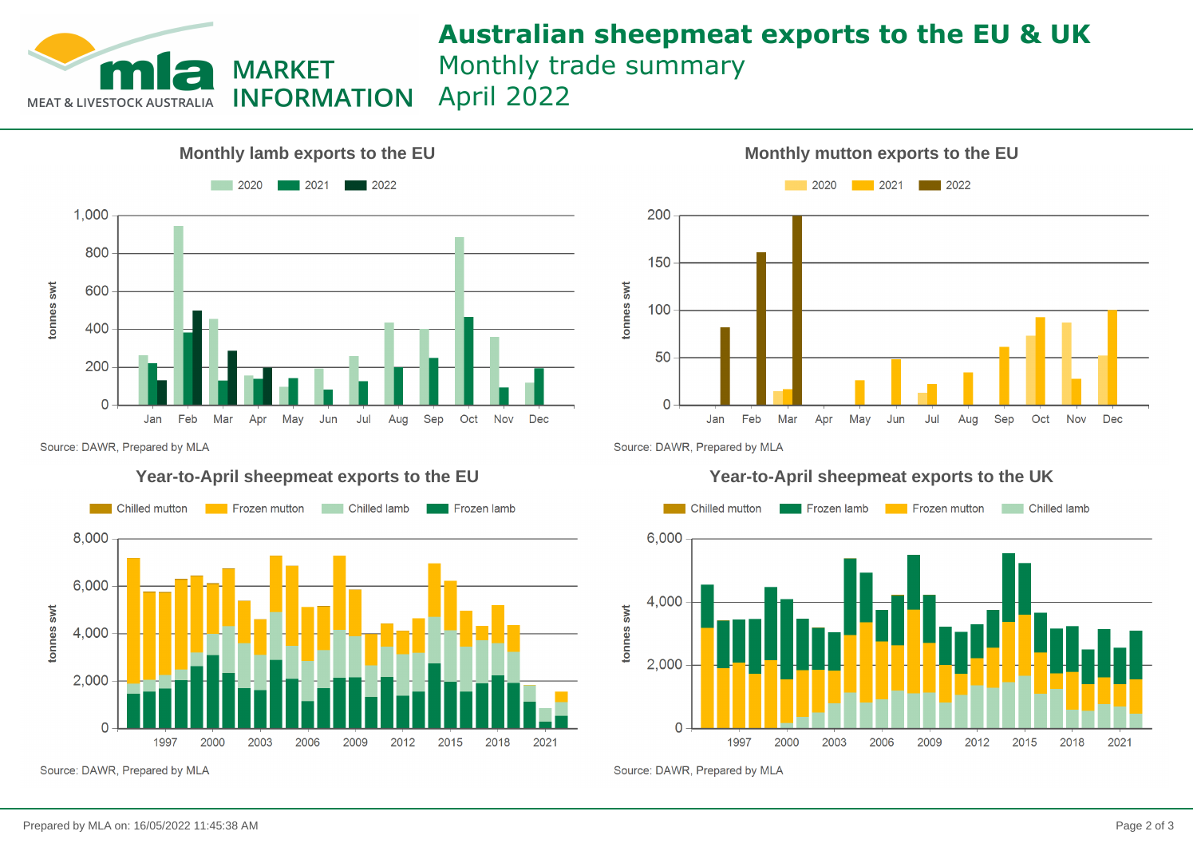

# **Australian sheepmeat exports to the EU & UK**

Monthly trade summary

April 2022**INFORMATION** 



Source: DAWR, Prepared by MLA

### **Year-to-April sheepmeat exports to the EU**



Source: DAWR, Prepared by MLA



Source: DAWR, Prepared by MLA



Source: DAWR, Prepared by MLA

### **Year-to-April sheepmeat exports to the UK**